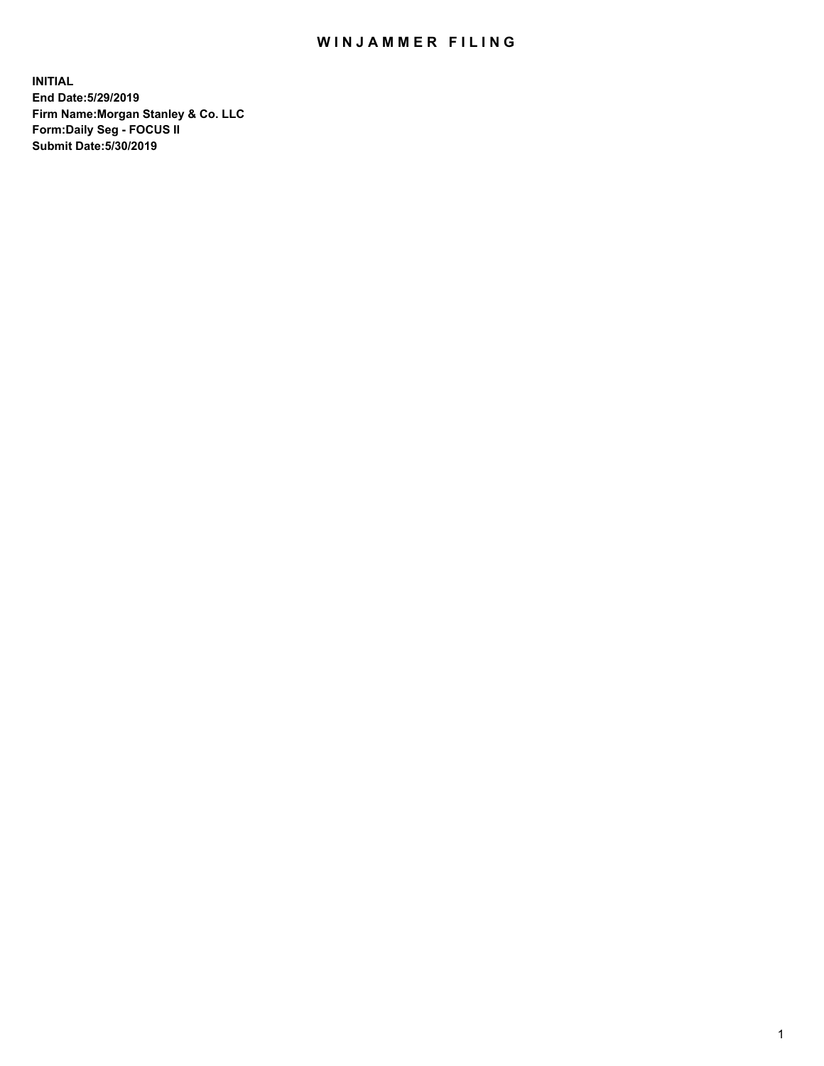## WIN JAMMER FILING

**INITIAL End Date:5/29/2019 Firm Name:Morgan Stanley & Co. LLC Form:Daily Seg - FOCUS II Submit Date:5/30/2019**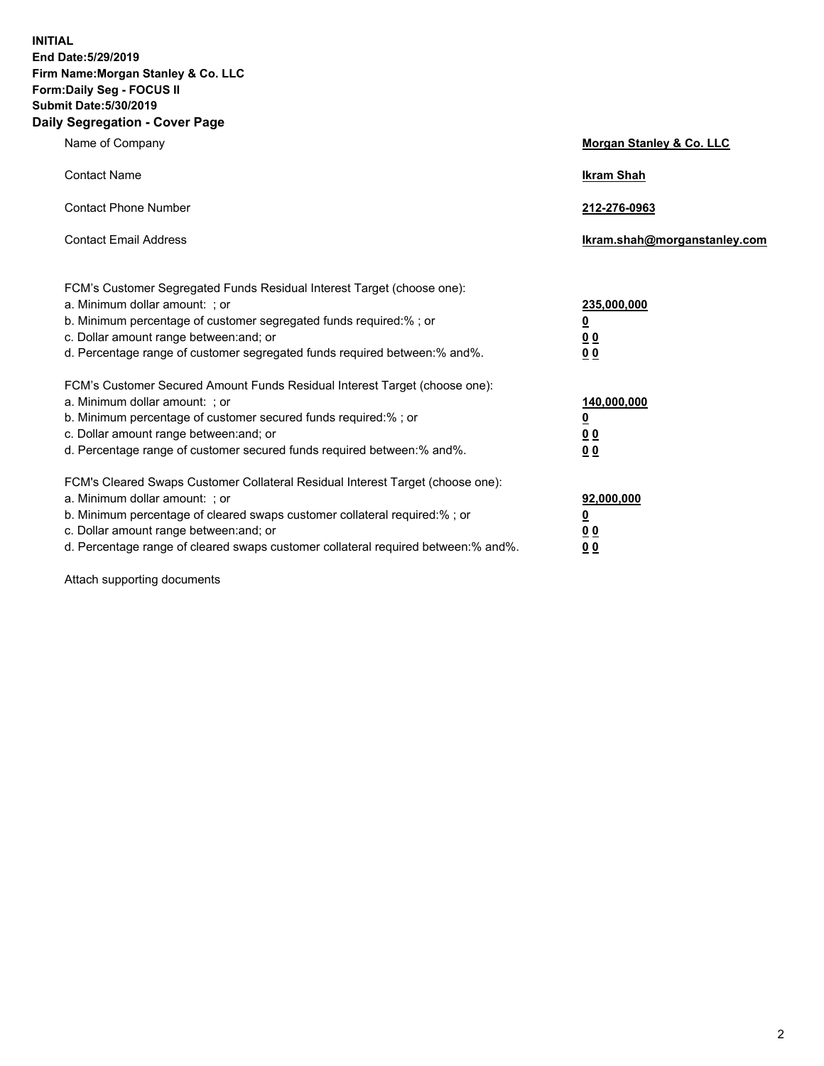**INITIAL End Date:5/29/2019 Firm Name:Morgan Stanley & Co. LLC Form:Daily Seg - FOCUS II Submit Date:5/30/2019 Daily Segregation - Cover Page**

| Name of Company                                                                                                                                                                                                                                                                                                                | Morgan Stanley & Co. LLC                                    |
|--------------------------------------------------------------------------------------------------------------------------------------------------------------------------------------------------------------------------------------------------------------------------------------------------------------------------------|-------------------------------------------------------------|
| <b>Contact Name</b>                                                                                                                                                                                                                                                                                                            | <b>Ikram Shah</b>                                           |
| <b>Contact Phone Number</b>                                                                                                                                                                                                                                                                                                    | 212-276-0963                                                |
| <b>Contact Email Address</b>                                                                                                                                                                                                                                                                                                   | Ikram.shah@morganstanley.com                                |
| FCM's Customer Segregated Funds Residual Interest Target (choose one):<br>a. Minimum dollar amount: ; or<br>b. Minimum percentage of customer segregated funds required:% ; or<br>c. Dollar amount range between: and; or<br>d. Percentage range of customer segregated funds required between:% and%.                         | 235,000,000<br><u>0</u><br>0 <sub>0</sub><br>0 <sub>0</sub> |
| FCM's Customer Secured Amount Funds Residual Interest Target (choose one):<br>a. Minimum dollar amount: ; or<br>b. Minimum percentage of customer secured funds required:%; or<br>c. Dollar amount range between: and; or<br>d. Percentage range of customer secured funds required between:% and%.                            | 140,000,000<br><u>0</u><br>0 <sub>0</sub><br>0 <sub>0</sub> |
| FCM's Cleared Swaps Customer Collateral Residual Interest Target (choose one):<br>a. Minimum dollar amount: ; or<br>b. Minimum percentage of cleared swaps customer collateral required:% ; or<br>c. Dollar amount range between: and; or<br>d. Percentage range of cleared swaps customer collateral required between:% and%. | 92,000,000<br><u>0</u><br><u>00</u><br>0 <sub>0</sub>       |

Attach supporting documents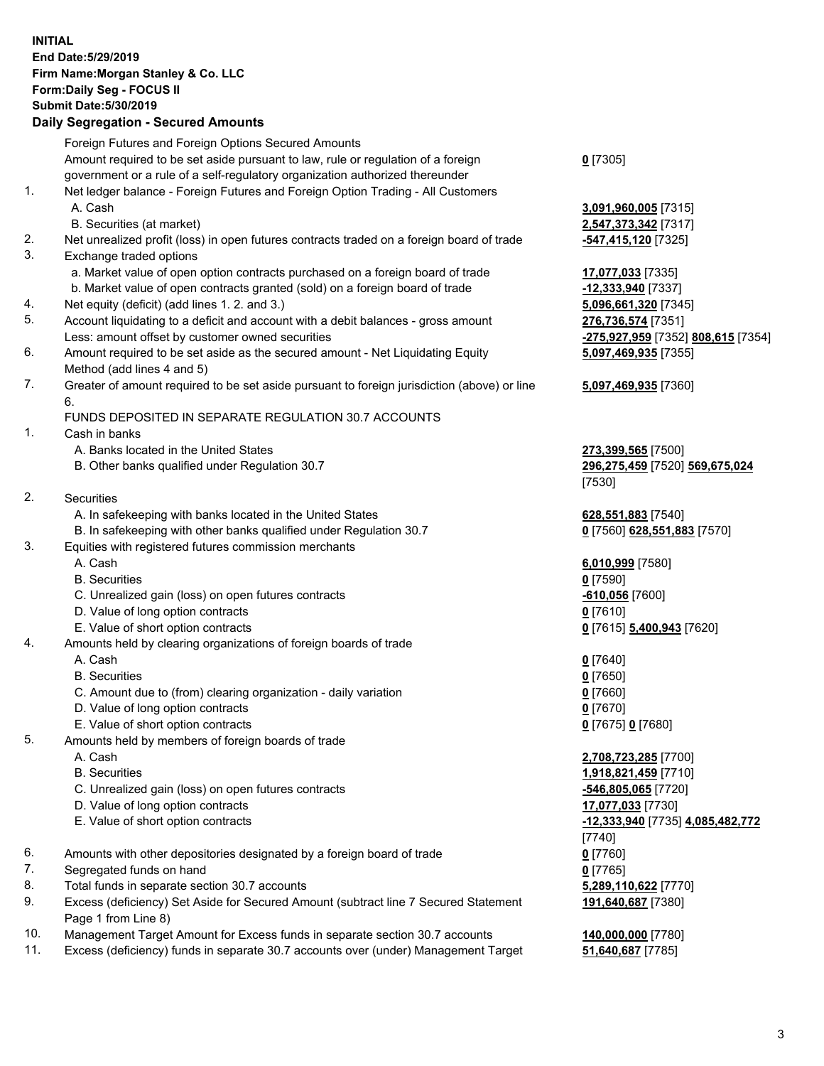## **INITIAL End Date:5/29/2019 Firm Name:Morgan Stanley & Co. LLC Form:Daily Seg - FOCUS II Submit Date:5/30/2019**

## **Daily Segregation - Secured Amounts**

|          | Foreign Futures and Foreign Options Secured Amounts                                                                          |                       |
|----------|------------------------------------------------------------------------------------------------------------------------------|-----------------------|
|          | Amount required to be set aside pursuant to law, rule or regulation of a foreign                                             | $0$ [7305]            |
| 1.       | government or a rule of a self-regulatory organization authorized thereunder                                                 |                       |
|          | Net ledger balance - Foreign Futures and Foreign Option Trading - All Customers                                              |                       |
|          | A. Cash                                                                                                                      | 3,091,960,005 [7315]  |
|          | B. Securities (at market)                                                                                                    | 2,547,373,342 [7317]  |
| 2.<br>3. | Net unrealized profit (loss) in open futures contracts traded on a foreign board of trade                                    | -547,415,120 [7325]   |
|          | Exchange traded options                                                                                                      |                       |
|          | a. Market value of open option contracts purchased on a foreign board of trade                                               | 17,077,033 [7335]     |
|          | b. Market value of open contracts granted (sold) on a foreign board of trade<br>Net equity (deficit) (add lines 1.2. and 3.) | -12,333,940 [7337]    |
| 4.<br>5. | Account liquidating to a deficit and account with a debit balances - gross amount                                            | 5,096,661,320 [7345]  |
|          |                                                                                                                              | 276,736,574 [7351]    |
|          | Less: amount offset by customer owned securities                                                                             | -275,927,959 [7352] 8 |
| 6.       | Amount required to be set aside as the secured amount - Net Liquidating Equity                                               | 5,097,469,935 [7355]  |
|          | Method (add lines 4 and 5)                                                                                                   |                       |
| 7.       | Greater of amount required to be set aside pursuant to foreign jurisdiction (above) or line<br>6.                            | 5,097,469,935 [7360]  |
|          | FUNDS DEPOSITED IN SEPARATE REGULATION 30.7 ACCOUNTS                                                                         |                       |
| 1.       | Cash in banks                                                                                                                |                       |
|          | A. Banks located in the United States                                                                                        | 273,399,565 [7500]    |
|          | B. Other banks qualified under Regulation 30.7                                                                               | 296,275,459 [7520] 5  |
|          |                                                                                                                              | [7530]                |
| 2.       | Securities                                                                                                                   |                       |
|          | A. In safekeeping with banks located in the United States                                                                    | 628,551,883 [7540]    |
|          | B. In safekeeping with other banks qualified under Regulation 30.7                                                           | 0 [7560] 628,551,883  |
| 3.       | Equities with registered futures commission merchants                                                                        |                       |
|          | A. Cash                                                                                                                      | 6,010,999 [7580]      |
|          | <b>B.</b> Securities                                                                                                         | $0$ [7590]            |
|          | C. Unrealized gain (loss) on open futures contracts                                                                          | 610,056 [7600]        |
|          | D. Value of long option contracts                                                                                            | $0$ [7610]            |
|          | E. Value of short option contracts                                                                                           | 0 [7615] 5,400,943 [7 |
| 4.       | Amounts held by clearing organizations of foreign boards of trade                                                            |                       |
|          | A. Cash                                                                                                                      | $0$ [7640]            |
|          | <b>B.</b> Securities                                                                                                         | $0$ [7650]            |
|          | C. Amount due to (from) clearing organization - daily variation                                                              | $0$ [7660]            |
|          | D. Value of long option contracts                                                                                            | $0$ [7670]            |
|          | E. Value of short option contracts                                                                                           | 0 [7675] 0 [7680]     |
| 5.       | Amounts held by members of foreign boards of trade                                                                           |                       |
|          | A. Cash                                                                                                                      | 2,708,723,285 [7700]  |
|          | <b>B.</b> Securities                                                                                                         | 1,918,821,459 [7710]  |
|          | C. Unrealized gain (loss) on open futures contracts                                                                          | -546,805,065 [7720]   |
|          | D. Value of long option contracts                                                                                            | 17,077,033 [7730]     |
|          | E. Value of short option contracts                                                                                           | -12,333,940 [7735] 4. |
|          |                                                                                                                              | [7740]                |
| 6.       | Amounts with other depositories designated by a foreign board of trade                                                       | $0$ [7760]            |
| 7.       | Segregated funds on hand                                                                                                     | $0$ [7765]            |
| 8.       | Total funds in separate section 30.7 accounts                                                                                | 5,289,110,622 [7770]  |
| 9.       | Excess (deficiency) Set Aside for Secured Amount (subtract line 7 Secured Statement                                          | 191,640,687 [7380]    |
|          | Page 1 from Line 8)                                                                                                          |                       |
|          |                                                                                                                              |                       |

- 10. Management Target Amount for Excess funds in separate section 30.7 accounts **140,000,000** [7780]
- 11. Excess (deficiency) funds in separate 30.7 accounts over (under) Management Target **51,640,687** [7785]

Less: amount offset by customer owned securities **-275,927,959** [7352] **808,615** [7354] **5,097,469,935** [7355]

## **5,097,469,935** [7360]

B. Other banks qualified under Regulation 30.7 **296,275,459** [7520] **569,675,024**

 $\underline{\textbf{28,551,883}}$  [7570]

**A00,943** [7620]

 E. Value of short option contracts **-12,333,940** [7735] **4,085,482,772 87** [7380]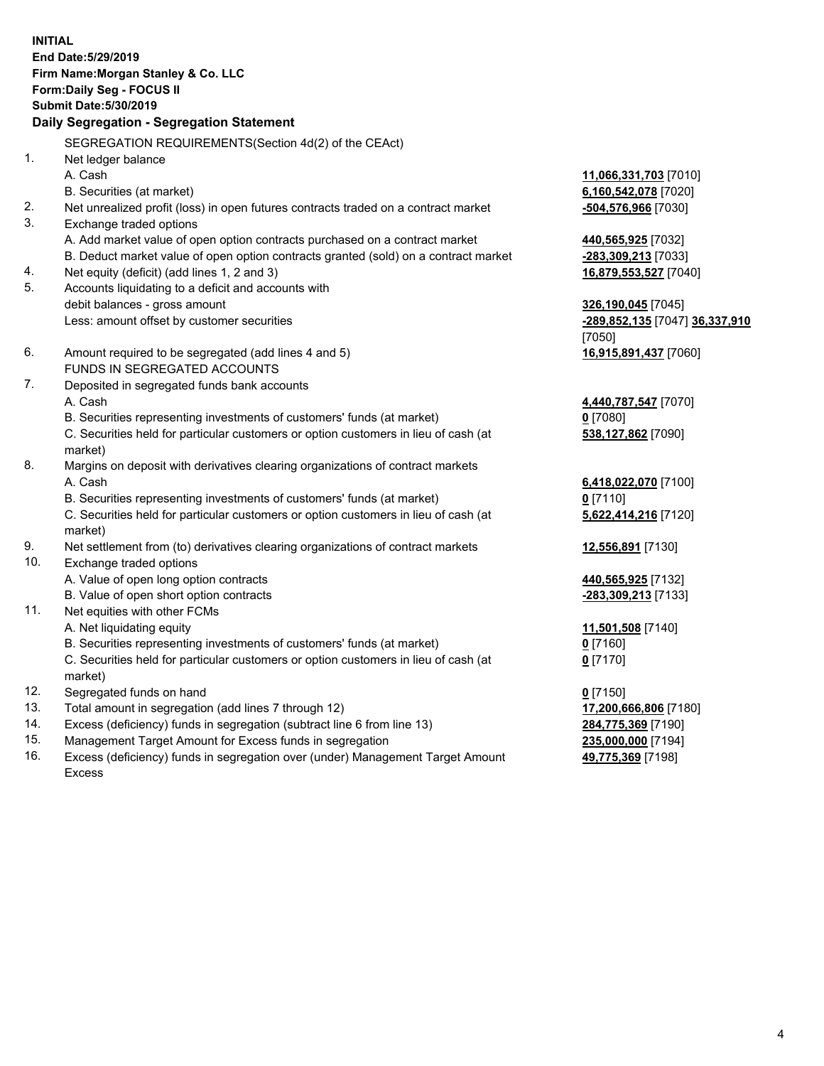**INITIAL End Date:5/29/2019 Firm Name:Morgan Stanley & Co. LLC Form:Daily Seg - FOCUS II Submit Date:5/30/2019 Daily Segregation - Segregation Statement** SEGREGATION REQUIREMENTS(Section 4d(2) of the CEAct) 1. Net ledger balance A. Cash **11,066,331,703** [7010] B. Securities (at market) **6,160,542,078** [7020] 2. Net unrealized profit (loss) in open futures contracts traded on a contract market **-504,576,966** [7030] 3. Exchange traded options A. Add market value of open option contracts purchased on a contract market **440,565,925** [7032] B. Deduct market value of open option contracts granted (sold) on a contract market **-283,309,213** [7033] 4. Net equity (deficit) (add lines 1, 2 and 3) **16,879,553,527** [7040] 5. Accounts liquidating to a deficit and accounts with debit balances - gross amount **326,190,045** [7045] Less: amount offset by customer securities **-289,852,135** [7047] **36,337,910** [7050] 6. Amount required to be segregated (add lines 4 and 5) **16,915,891,437** [7060] FUNDS IN SEGREGATED ACCOUNTS 7. Deposited in segregated funds bank accounts A. Cash **4,440,787,547** [7070] B. Securities representing investments of customers' funds (at market) **0** [7080] C. Securities held for particular customers or option customers in lieu of cash (at market) **538,127,862** [7090] 8. Margins on deposit with derivatives clearing organizations of contract markets A. Cash **6,418,022,070** [7100] B. Securities representing investments of customers' funds (at market) **0** [7110] C. Securities held for particular customers or option customers in lieu of cash (at market) **5,622,414,216** [7120] 9. Net settlement from (to) derivatives clearing organizations of contract markets **12,556,891** [7130] 10. Exchange traded options A. Value of open long option contracts **440,565,925** [7132] B. Value of open short option contracts **-283,309,213** [7133] 11. Net equities with other FCMs A. Net liquidating equity **11,501,508** [7140] B. Securities representing investments of customers' funds (at market) **0** [7160] C. Securities held for particular customers or option customers in lieu of cash (at market) **0** [7170] 12. Segregated funds on hand **0** [7150] 13. Total amount in segregation (add lines 7 through 12) **17,200,666,806** [7180] 14. Excess (deficiency) funds in segregation (subtract line 6 from line 13) **284,775,369** [7190]

- 15. Management Target Amount for Excess funds in segregation **235,000,000** [7194]
- 16. Excess (deficiency) funds in segregation over (under) Management Target Amount Excess

**49,775,369** [7198]